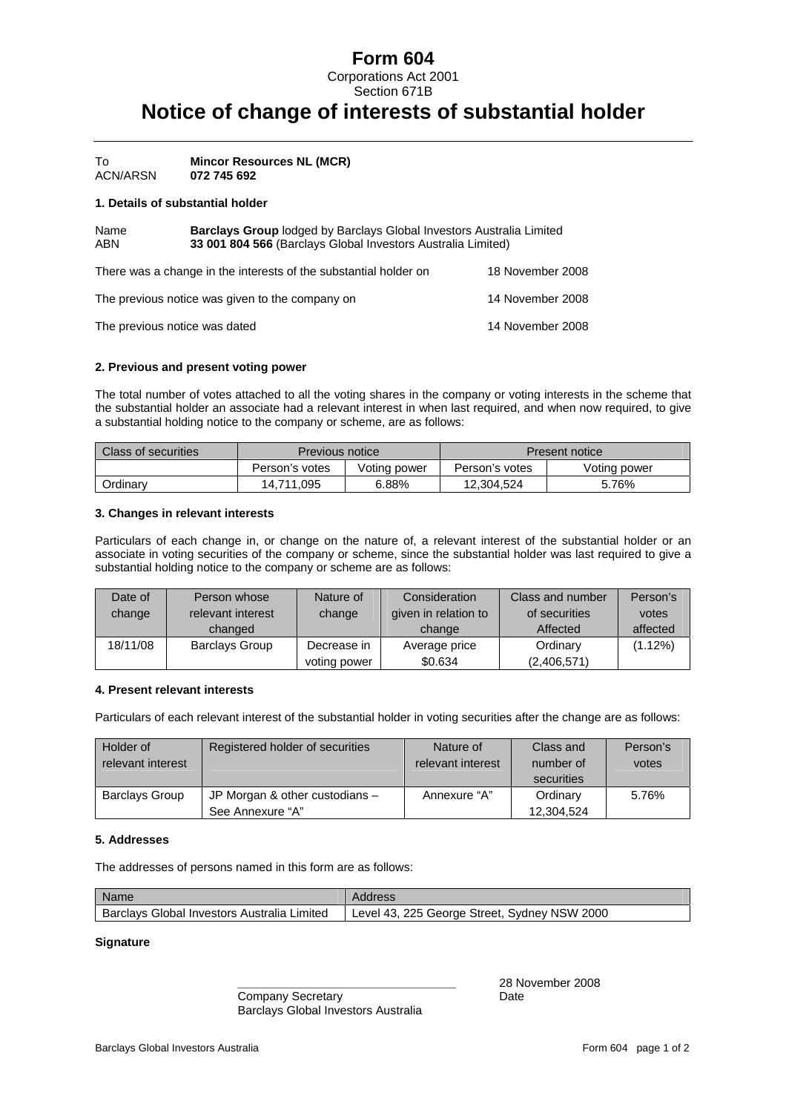# **Form 604**

Corporations Act 2001 Section 671B

# **Notice of change of interests of substantial holder**

To **Mincor Resources NL (MCR)**  ACN/ARSN **072 745 692** 

#### **1. Details of substantial holder**

| <b>Barclays Group</b> lodged by Barclays Global Investors Australia Limited<br>Name<br><b>ABN</b><br>33 001 804 566 (Barclays Global Investors Australia Limited) |                                                                  |                  |  |  |
|-------------------------------------------------------------------------------------------------------------------------------------------------------------------|------------------------------------------------------------------|------------------|--|--|
|                                                                                                                                                                   | There was a change in the interests of the substantial holder on | 18 November 2008 |  |  |
|                                                                                                                                                                   | The previous notice was given to the company on                  | 14 November 2008 |  |  |

The previous notice was dated 14 November 2008

#### **2. Previous and present voting power**

The total number of votes attached to all the voting shares in the company or voting interests in the scheme that the substantial holder an associate had a relevant interest in when last required, and when now required, to give a substantial holding notice to the company or scheme, are as follows:

| Class of securities | Previous notice |              | Present notice |              |  |
|---------------------|-----------------|--------------|----------------|--------------|--|
|                     | Person's votes  | Voting power | Person's votes | Voting power |  |
| Ordinarv            | 14.711.095      | 6.88%        | 12.304.524     | 5.76%        |  |

## **3. Changes in relevant interests**

Particulars of each change in, or change on the nature of, a relevant interest of the substantial holder or an associate in voting securities of the company or scheme, since the substantial holder was last required to give a substantial holding notice to the company or scheme are as follows:

| Date of  | Person whose          | Nature of    | Consideration        | Class and number | Person's |
|----------|-----------------------|--------------|----------------------|------------------|----------|
| change   | relevant interest     | change       | given in relation to | of securities    | votes    |
|          | changed               |              | change               | Affected         | affected |
| 18/11/08 | <b>Barclays Group</b> | Decrease in  | Average price        | Ordinary         | (1.12%)  |
|          |                       | voting power | \$0.634              | (2,406,571)      |          |

#### **4. Present relevant interests**

Particulars of each relevant interest of the substantial holder in voting securities after the change are as follows:

| Holder of<br>relevant interest | Registered holder of securities                      | Nature of<br>relevant interest | Class and<br>number of<br>securities | Person's<br>votes |
|--------------------------------|------------------------------------------------------|--------------------------------|--------------------------------------|-------------------|
| <b>Barclays Group</b>          | JP Morgan & other custodians $-$<br>See Annexure "A" | Annexure "A"                   | Ordinary<br>12.304.524               | 5.76%             |

### **5. Addresses**

The addresses of persons named in this form are as follows:

| Name                                        | Address                                      |
|---------------------------------------------|----------------------------------------------|
| Barclays Global Investors Australia Limited | Level 43, 225 George Street, Sydney NSW 2000 |

#### **Signature**

Company Secretary **Date** Barclays Global Investors Australia

 **\_\_\_\_\_\_\_\_\_\_\_\_\_\_\_\_\_\_\_\_\_\_\_\_\_\_\_\_\_\_\_\_\_** 28 November 2008